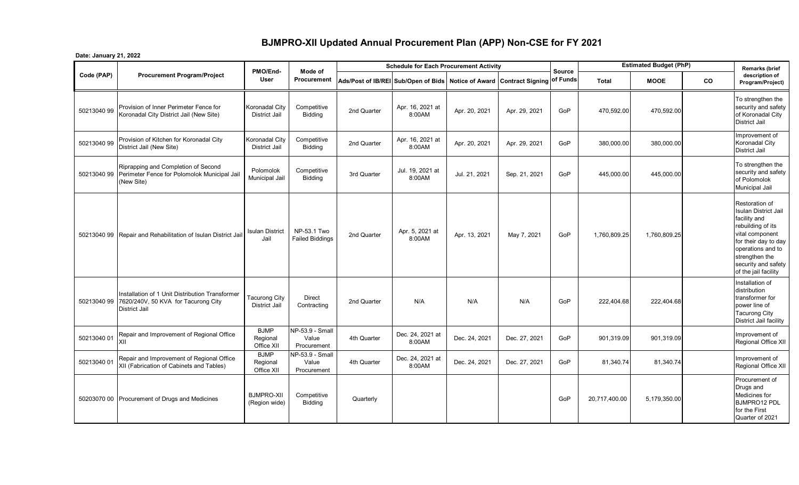## **BJMPRO-XII Updated Annual Procurement Plan (APP) Non-CSE for FY 2021**

**Date: January 21, 2022**

|             | <b>Procurement Program/Project</b>                                                                             | PMO/End-                               | Mode of                                 | <b>Schedule for Each Procurement Activity</b>                                 |                            |               |               |               |               | <b>Estimated Budget (PhP)</b> |    | <b>Remarks (brief</b>                                                                                                                                                                                               |
|-------------|----------------------------------------------------------------------------------------------------------------|----------------------------------------|-----------------------------------------|-------------------------------------------------------------------------------|----------------------------|---------------|---------------|---------------|---------------|-------------------------------|----|---------------------------------------------------------------------------------------------------------------------------------------------------------------------------------------------------------------------|
| Code (PAP)  |                                                                                                                | <b>User</b>                            | Procurement                             | Ads/Post of IB/REI Sub/Open of Bids Notice of Award Contract Signing of Funds |                            |               |               | <b>Source</b> | <b>Total</b>  | <b>MOOE</b>                   | CO | description of<br>Program/Project)                                                                                                                                                                                  |
| 50213040 99 | Provision of Inner Perimeter Fence for<br>Koronadal City District Jail (New Site)                              | Koronadal City<br><b>District Jail</b> | Competitive<br>Bidding                  | 2nd Quarter                                                                   | Apr. 16, 2021 at<br>8:00AM | Apr. 20, 2021 | Apr. 29, 2021 | GoP           | 470,592.00    | 470,592.00                    |    | To strengthen the<br>security and safety<br>of Koronadal City<br><b>District Jail</b>                                                                                                                               |
| 50213040 99 | Provision of Kitchen for Koronadal City<br>District Jail (New Site)                                            | Koronadal City<br>District Jail        | Competitive<br>Bidding                  | 2nd Quarter                                                                   | Apr. 16, 2021 at<br>8:00AM | Apr. 20, 2021 | Apr. 29, 2021 | GoP           | 380,000.00    | 380,000.00                    |    | Improvement of<br>Koronadal City<br><b>District Jail</b>                                                                                                                                                            |
|             | Riprapping and Completion of Second<br>50213040 99 Perimeter Fence for Polomolok Municipal Jail<br>(New Site)  | Polomolok<br>Municipal Jail            | Competitive<br><b>Bidding</b>           | 3rd Quarter                                                                   | Jul. 19, 2021 at<br>8:00AM | Jul. 21, 2021 | Sep. 21, 2021 | GoP           | 445,000.00    | 445,000.00                    |    | To strengthen the<br>security and safety<br>of Polomolok<br>Municipal Jail                                                                                                                                          |
|             | 50213040 99 Repair and Rehabilitation of Isulan District Jail                                                  | Isulan District<br>Jail                | NP-53.1 Two<br><b>Failed Biddings</b>   | 2nd Quarter                                                                   | Apr. 5, 2021 at<br>8:00AM  | Apr. 13, 2021 | May 7, 2021   | GoP           | 1,760,809.25  | 1,760,809.25                  |    | Restoration of<br><b>Isulan District Jail</b><br>facility and<br>rebuilding of its<br>vital component<br>for their day to day<br>operations and to<br>strengthen the<br>security and safety<br>of the jail facility |
| 50213040 99 | Installation of 1 Unit Distribution Transformer<br>7620/240V, 50 KVA for Tacurong City<br><b>District Jail</b> | <b>Tacurong City</b><br>District Jail  | <b>Direct</b><br>Contracting            | 2nd Quarter                                                                   | N/A                        | N/A           | N/A           | GoP           | 222,404.68    | 222,404.68                    |    | Installation of<br>distribution<br>transformer for<br>power line of<br><b>Tacurong City</b><br>District Jail facility                                                                                               |
| 50213040 01 | Repair and Improvement of Regional Office<br>XII                                                               | <b>BJMP</b><br>Regional<br>Office XII  | NP-53.9 - Small<br>Value<br>Procurement | 4th Quarter                                                                   | Dec. 24, 2021 at<br>8:00AM | Dec. 24, 2021 | Dec. 27, 2021 | GoP           | 901,319.09    | 901,319.09                    |    | Improvement of<br>Regional Office XII                                                                                                                                                                               |
| 50213040 01 | Repair and Improvement of Regional Office<br>XII (Fabrication of Cabinets and Tables)                          | <b>BJMP</b><br>Regional<br>Office XII  | NP-53.9 - Small<br>Value<br>Procurement | 4th Quarter                                                                   | Dec. 24, 2021 at<br>8:00AM | Dec. 24, 2021 | Dec. 27, 2021 | GoP           | 81,340.74     | 81,340.74                     |    | Improvement of<br>Regional Office XII                                                                                                                                                                               |
|             | 50203070 00 Procurement of Drugs and Medicines                                                                 | <b>BJMPRO-XII</b><br>(Region wide)     | Competitive<br><b>Bidding</b>           | Quarterly                                                                     |                            |               |               | GoP           | 20,717,400.00 | 5,179,350.00                  |    | Procurement of<br>Drugs and<br>Medicines for<br>BJMPRO12 PDL<br>for the First<br>Quarter of 2021                                                                                                                    |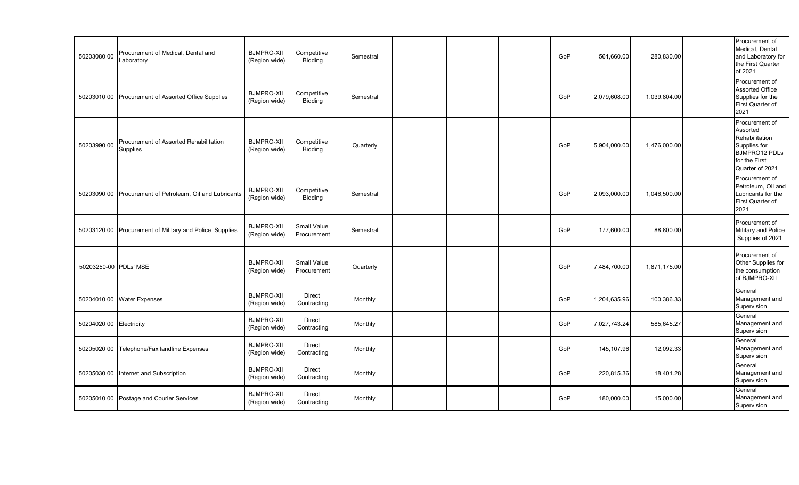| 50203080 00             | Procurement of Medical, Dental and<br>Laboratory         | <b>BJMPRO-XII</b><br>(Region wide) | Competitive<br>Bidding            | Semestral |  | GoP | 561,660.00   | 280,830.00   | Procurement of<br>Medical, Dental<br>and Laboratory for<br>the First Quarter<br>of 2021                                  |  |
|-------------------------|----------------------------------------------------------|------------------------------------|-----------------------------------|-----------|--|-----|--------------|--------------|--------------------------------------------------------------------------------------------------------------------------|--|
|                         | 50203010 00 Procurement of Assorted Office Supplies      | <b>BJMPRO-XII</b><br>(Region wide) | Competitive<br>Bidding            | Semestral |  | GoP | 2,079,608.00 | 1,039,804.00 | Procurement of<br><b>Assorted Office</b><br>Supplies for the<br>First Quarter of<br>2021                                 |  |
| 50203990 00             | Procurement of Assorted Rehabilitation<br>Supplies       | <b>BJMPRO-XII</b><br>(Region wide) | Competitive<br>Bidding            | Quarterly |  | GoP | 5,904,000.00 | 1,476,000.00 | Procurement of<br>Assorted<br>Rehabilitation<br>Supplies for<br><b>BJMPRO12 PDLs</b><br>for the First<br>Quarter of 2021 |  |
|                         | 50203090 00 Procurement of Petroleum, Oil and Lubricants | <b>BJMPRO-XII</b><br>(Region wide) | Competitive<br><b>Bidding</b>     | Semestral |  | GoP | 2,093,000.00 | 1,046,500.00 | Procurement of<br>Petroleum, Oil and<br>Lubricants for the<br>First Quarter of<br>2021                                   |  |
|                         | 50203120 00 Procurement of Military and Police Supplies  | <b>BJMPRO-XII</b><br>(Region wide) | <b>Small Value</b><br>Procurement | Semestral |  | GoP | 177,600.00   | 88,800.00    | Procurement of<br>Military and Police<br>Supplies of 2021                                                                |  |
| 50203250-00 PDLs' MSE   |                                                          | <b>BJMPRO-XII</b><br>(Region wide) | Small Value<br>Procurement        | Quarterly |  | GoP | 7,484,700.00 | 1,871,175.00 | Procurement of<br>Other Supplies for<br>the consumption<br>of BJMPRO-XII                                                 |  |
|                         | 50204010 00 Water Expenses                               | <b>BJMPRO-XII</b><br>(Region wide) | Direct<br>Contracting             | Monthly   |  | GoP | 1,204,635.96 | 100,386.33   | General<br>Management and<br>Supervision                                                                                 |  |
| 50204020 00 Electricity |                                                          | <b>BJMPRO-XII</b><br>(Region wide) | Direct<br>Contracting             | Monthly   |  | GoP | 7,027,743.24 | 585,645.27   | General<br>Management and<br>Supervision                                                                                 |  |
| 50205020 00             | Telephone/Fax landline Expenses                          | <b>BJMPRO-XII</b><br>(Region wide) | Direct<br>Contracting             | Monthly   |  | GoP | 145,107.96   | 12,092.33    | General<br>Management and<br>Supervision                                                                                 |  |
| 50205030 00             | Internet and Subscription                                | <b>BJMPRO-XII</b><br>(Region wide) | Direct<br>Contracting             | Monthly   |  | GoP | 220,815.36   | 18,401.28    | General<br>Management and<br>Supervision                                                                                 |  |
|                         | 50205010 00 Postage and Courier Services                 | <b>BJMPRO-XII</b><br>(Region wide) | Direct<br>Contracting             | Monthly   |  | GoP | 180,000.00   | 15,000.00    | General<br>Management and<br>Supervision                                                                                 |  |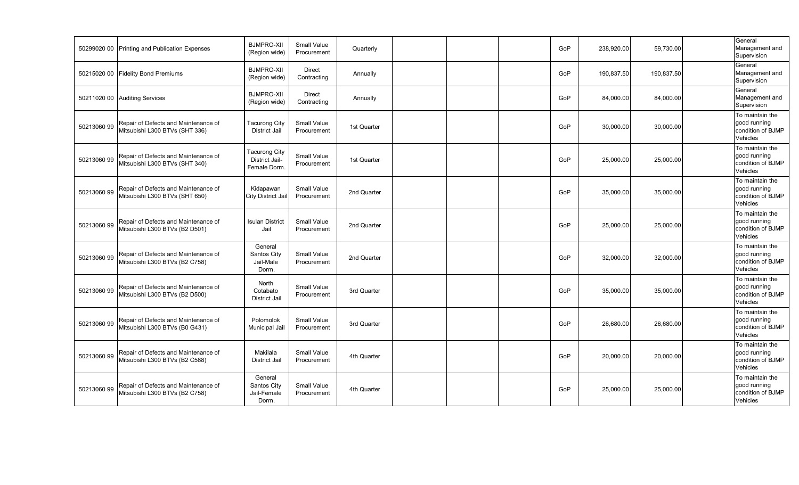|             | 50299020 00 Printing and Publication Expenses                          | <b>BJMPRO-XII</b><br>(Region wide)                     | <b>Small Value</b><br>Procurement | Quarterly   |  | GoP | 238,920.00 | 59,730.00  | General<br>Management and<br>Supervision                         |
|-------------|------------------------------------------------------------------------|--------------------------------------------------------|-----------------------------------|-------------|--|-----|------------|------------|------------------------------------------------------------------|
|             | 50215020 00 Fidelity Bond Premiums                                     | <b>BJMPRO-XII</b><br>(Region wide)                     | Direct<br>Contracting             | Annually    |  | GoP | 190,837.50 | 190,837.50 | General<br>Management and<br>Supervision                         |
|             | 50211020 00 Auditing Services                                          | <b>BJMPRO-XII</b><br>(Region wide)                     | <b>Direct</b><br>Contracting      | Annually    |  | GoP | 84,000.00  | 84,000.00  | General<br>Management and<br>Supervision                         |
| 50213060 99 | Repair of Defects and Maintenance of<br>Mitsubishi L300 BTVs (SHT 336) | Tacurong City<br><b>District Jail</b>                  | <b>Small Value</b><br>Procurement | 1st Quarter |  | GoP | 30,000.00  | 30,000.00  | To maintain the<br>good running<br>condition of BJMP<br>Vehicles |
| 50213060 99 | Repair of Defects and Maintenance of<br>Mitsubishi L300 BTVs (SHT 340) | <b>Tacurong City</b><br>District Jail-<br>Female Dorm. | <b>Small Value</b><br>Procurement | 1st Quarter |  | GoP | 25,000.00  | 25,000.00  | To maintain the<br>good running<br>condition of BJMP<br>Vehicles |
| 50213060 99 | Repair of Defects and Maintenance of<br>Mitsubishi L300 BTVs (SHT 650) | Kidapawan<br>City District Jai                         | Small Value<br>Procurement        | 2nd Quarter |  | GoP | 35,000.00  | 35,000.00  | To maintain the<br>good running<br>condition of BJMP<br>Vehicles |
| 50213060 99 | Repair of Defects and Maintenance of<br>Mitsubishi L300 BTVs (B2 D501) | <b>Isulan District</b><br>Jail                         | <b>Small Value</b><br>Procurement | 2nd Quarter |  | GoP | 25,000.00  | 25,000.00  | To maintain the<br>good running<br>condition of BJMP<br>Vehicles |
| 50213060 99 | Repair of Defects and Maintenance of<br>Mitsubishi L300 BTVs (B2 C758) | General<br>Santos City<br>Jail-Male<br>Dorm.           | Small Value<br>Procurement        | 2nd Quarter |  | GoP | 32,000.00  | 32,000.00  | To maintain the<br>good running<br>condition of BJMP<br>Vehicles |
| 5021306099  | Repair of Defects and Maintenance of<br>Mitsubishi L300 BTVs (B2 D500) | North<br>Cotabato<br><b>District Jail</b>              | Small Value<br>Procurement        | 3rd Quarter |  | GoP | 35,000.00  | 35,000.00  | To maintain the<br>good running<br>condition of BJMP<br>Vehicles |
| 50213060 99 | Repair of Defects and Maintenance of<br>Mitsubishi L300 BTVs (B0 G431) | Polomolok<br>Municipal Jail                            | <b>Small Value</b><br>Procurement | 3rd Quarter |  | GoP | 26,680.00  | 26,680.00  | To maintain the<br>good running<br>condition of BJMP<br>Vehicles |
| 50213060 99 | Repair of Defects and Maintenance of<br>Mitsubishi L300 BTVs (B2 C588) | Makilala<br><b>District Jail</b>                       | Small Value<br>Procurement        | 4th Quarter |  | GoP | 20,000.00  | 20,000.00  | To maintain the<br>good running<br>condition of BJMP<br>Vehicles |
| 5021306099  | Repair of Defects and Maintenance of<br>Mitsubishi L300 BTVs (B2 C758) | General<br>Santos City<br>Jail-Female<br>Dorm.         | <b>Small Value</b><br>Procurement | 4th Quarter |  | GoP | 25,000.00  | 25,000.00  | To maintain the<br>good running<br>condition of BJMP<br>Vehicles |